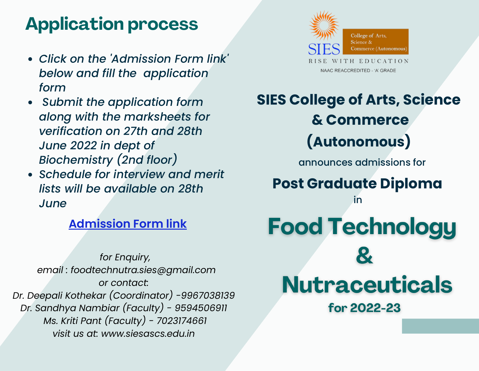#### **Application process**

- *Click on the 'Admission Form link' below and fill the application form*
- *Submit the application form along with the marksheets for verification on 27th and 28th June 2022 in dept of Biochemistry (2nd floor)*
- *Schedule for interview and merit lists will be available on 28th June*

#### **[Admission](https://docs.google.com/forms/d/e/1FAIpQLSc10sLOZI8r7B9XUA_ZJDAjbLM1a13zMT9OX697SjFf4o8Ecw/viewform?usp=sf_link) Form link**

*for Enquiry, email : foodtechnutra.sies@gmail.com or contact: Dr. Deepali Kothekar (Coordinator) -9967038139 Dr. Sandhya Nambiar (Faculty) - 9594506911 Ms. Kriti Pant (Faculty) - 7023174661 visit us at: [www.siesascs.edu.in](http://www.siesascs.edu.in/)*



#### **SIES College of Arts, Science & Commerce (Autonomous)** announces admissions for **Post Graduate Diploma** in

# **Food Technology Nutraceuticals**

for 2022-23